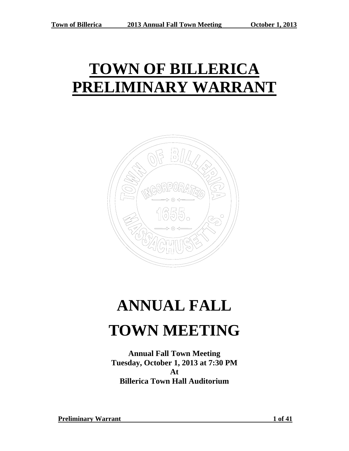## **TOWN OF BILLERICA PRELIMINARY WARRANT**



# **ANNUAL FALL TOWN MEETING**

**Annual Fall Town Meeting Tuesday, October 1, 2013 at 7:30 PM At Billerica Town Hall Auditorium**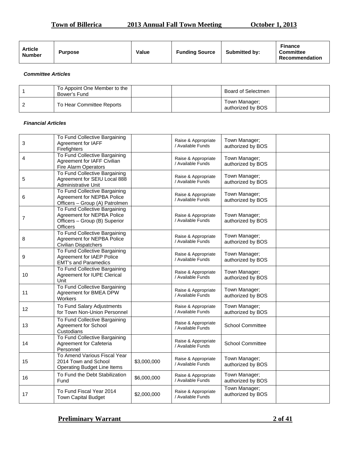## **Town of Billerica** 2013 Annual Fall Town Meeting October 1, 2013

| <b>Article</b><br>Value<br><b>Purpose</b><br><b>Number</b> | <b>Funding Source</b> | <b>Submitted by:</b> | <b>Finance</b><br><b>Committee</b><br>Recommendation |
|------------------------------------------------------------|-----------------------|----------------------|------------------------------------------------------|
|------------------------------------------------------------|-----------------------|----------------------|------------------------------------------------------|

#### *Committee Articles*

| To Appoint One Member to the<br>Bower's Fund |  | Board of Selectmen                 |  |
|----------------------------------------------|--|------------------------------------|--|
| To Hear Committee Reports                    |  | Town Manager:<br>authorized by BOS |  |

#### *Financial Articles*

| 3              | To Fund Collective Bargaining<br>Agreement for IAFF<br>Firefighters                                             |             | Raise & Appropriate<br>/ Available Funds | Town Manager;<br>authorized by BOS |  |
|----------------|-----------------------------------------------------------------------------------------------------------------|-------------|------------------------------------------|------------------------------------|--|
| 4              | To Fund Collective Bargaining<br>Agreement for IAFF Civilian<br>Fire Alarm Operators                            |             | Raise & Appropriate<br>/ Available Funds | Town Manager;<br>authorized by BOS |  |
| 5              | To Fund Collective Bargaining<br>Agreement for SEIU Local 888<br>Administrative Unit                            |             | Raise & Appropriate<br>/ Available Funds | Town Manager;<br>authorized by BOS |  |
| 6              | To Fund Collective Bargaining<br>Agreement for NEPBA Police<br>Officers - Group (A) Patrolmen                   |             | Raise & Appropriate<br>/ Available Funds | Town Manager;<br>authorized by BOS |  |
| $\overline{7}$ | To Fund Collective Bargaining<br>Agreement for NEPBA Police<br>Officers - Group (B) Superior<br><b>Officers</b> |             | Raise & Appropriate<br>/ Available Funds | Town Manager;<br>authorized by BOS |  |
| 8              | To Fund Collective Bargaining<br>Agreement for NEPBA Police<br><b>Civilian Dispatchers</b>                      |             | Raise & Appropriate<br>/ Available Funds | Town Manager;<br>authorized by BOS |  |
| 9              | To Fund Collective Bargaining<br>Agreement for IAEP Police<br><b>EMT's and Paramedics</b>                       |             | Raise & Appropriate<br>/ Available Funds | Town Manager;<br>authorized by BOS |  |
| 10             | To Fund Collective Bargaining<br>Agreement for IUPE Clerical<br>Unit                                            |             | Raise & Appropriate<br>/ Available Funds | Town Manager;<br>authorized by BOS |  |
| 11             | To Fund Collective Bargaining<br>Agreement for BMEA DPW<br>Workers                                              |             | Raise & Appropriate<br>/ Available Funds | Town Manager;<br>authorized by BOS |  |
| 12             | To Fund Salary Adjustments<br>for Town Non-Union Personnel                                                      |             | Raise & Appropriate<br>/ Available Funds | Town Manager;<br>authorized by BOS |  |
| 13             | To Fund Collective Bargaining<br>Agreement for School<br>Custodians                                             |             | Raise & Appropriate<br>/ Available Funds | <b>School Committee</b>            |  |
| 14             | To Fund Collective Bargaining<br>Agreement for Cafeteria<br>Personnel                                           |             | Raise & Appropriate<br>/ Available Funds | <b>School Committee</b>            |  |
| 15             | To Amend Various Fiscal Year<br>2014 Town and School<br><b>Operating Budget Line Items</b>                      | \$3,000,000 | Raise & Appropriate<br>/ Available Funds | Town Manager;<br>authorized by BOS |  |
| 16             | To Fund the Debt Stabilization<br>Fund                                                                          | \$6,000,000 | Raise & Appropriate<br>/ Available Funds | Town Manager;<br>authorized by BOS |  |
| 17             | To Fund Fiscal Year 2014<br>Town Capital Budget                                                                 | \$2,000,000 | Raise & Appropriate<br>/ Available Funds | Town Manager;<br>authorized by BOS |  |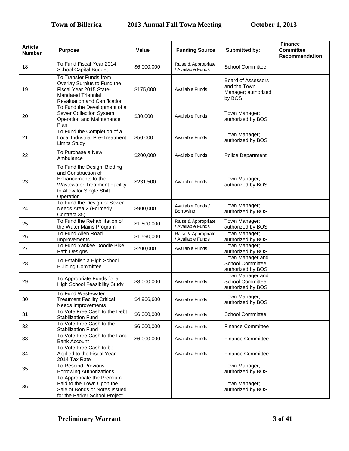| <b>Article</b><br><b>Number</b> | <b>Purpose</b>                                                                                                                                              | Value       | <b>Funding Source</b>                    | Submitted by:                                                              | <b>Finance</b><br><b>Committee</b><br>Recommendation |
|---------------------------------|-------------------------------------------------------------------------------------------------------------------------------------------------------------|-------------|------------------------------------------|----------------------------------------------------------------------------|------------------------------------------------------|
| 18                              | To Fund Fiscal Year 2014<br><b>School Capital Budget</b>                                                                                                    | \$6,000,000 | Raise & Appropriate<br>/ Available Funds | <b>School Committee</b>                                                    |                                                      |
| 19                              | To Transfer Funds from<br>Overlay Surplus to Fund the<br>Fiscal Year 2015 State-<br><b>Mandated Triennial</b><br>Revaluation and Certification              | \$175,000   | Available Funds                          | <b>Board of Assessors</b><br>and the Town<br>Manager; authorized<br>by BOS |                                                      |
| 20                              | To Fund the Development of a<br>Sewer Collection System<br>Operation and Maintenance<br>Plan                                                                | \$30,000    | Available Funds                          | Town Manager;<br>authorized by BOS                                         |                                                      |
| 21                              | To Fund the Completion of a<br>Local Industrial Pre-Treatment<br><b>Limits Study</b>                                                                        | \$50,000    | Available Funds                          | Town Manager;<br>authorized by BOS                                         |                                                      |
| 22                              | To Purchase a New<br>Ambulance                                                                                                                              | \$200,000   | <b>Available Funds</b>                   | <b>Police Department</b>                                                   |                                                      |
| 23                              | To Fund the Design, Bidding<br>and Construction of<br>Enhancements to the<br><b>Wastewater Treatment Facility</b><br>to Allow for Single Shift<br>Operation | \$231,500   | Available Funds                          | Town Manager;<br>authorized by BOS                                         |                                                      |
| 24                              | To Fund the Design of Sewer<br>Needs Area 2 (Formerly<br>Contract 35)                                                                                       | \$900,000   | Available Funds /<br>Borrowing           | Town Manager;<br>authorized by BOS                                         |                                                      |
| 25                              | To Fund the Rehabilitation of<br>the Water Mains Program                                                                                                    | \$1,500,000 | Raise & Appropriate<br>/ Available Funds | Town Manager;<br>authorized by BOS                                         |                                                      |
| 26                              | To Fund Allen Road<br>Improvements                                                                                                                          | \$1,590,000 | Raise & Appropriate<br>/ Available Funds | Town Manager;<br>authorized by BOS                                         |                                                      |
| 27                              | To Fund Yankee Doodle Bike<br>Path Designs                                                                                                                  | \$200,000   | Available Funds                          | Town Manager;<br>authorized by BOS                                         |                                                      |
| 28                              | To Establish a High School<br><b>Building Committee</b>                                                                                                     |             |                                          | Town Manager and<br>School Committee;<br>authorized by BOS                 |                                                      |
| 29                              | To Appropriate Funds for a<br><b>High School Feasibility Study</b>                                                                                          | \$3,000,000 | <b>Available Funds</b>                   | Town Manager and<br>School Committee;<br>authorized by BOS                 |                                                      |
| 30                              | To Fund Wastewater<br><b>Treatment Facility Critical</b><br>Needs Improvements                                                                              | \$4,966,600 | Available Funds                          | Town Manager;<br>authorized by BOS                                         |                                                      |
| 31                              | To Vote Free Cash to the Debt<br><b>Stabilization Fund</b>                                                                                                  | \$6,000,000 | Available Funds                          | <b>School Committee</b>                                                    |                                                      |
| 32                              | To Vote Free Cash to the<br><b>Stabilization Fund</b>                                                                                                       | \$6,000,000 | Available Funds                          | <b>Finance Committee</b>                                                   |                                                      |
| 33                              | To Vote Free Cash to the Land<br><b>Bank Account</b>                                                                                                        | \$6,000,000 | Available Funds                          | <b>Finance Committee</b>                                                   |                                                      |
| 34                              | To Vote Free Cash to be<br>Applied to the Fiscal Year<br>2014 Tax Rate                                                                                      |             | Available Funds                          | <b>Finance Committee</b>                                                   |                                                      |
| 35                              | <b>To Rescind Previous</b><br><b>Borrowing Authorizations</b>                                                                                               |             |                                          | Town Manager;<br>authorized by BOS                                         |                                                      |
| 36                              | To Appropriate the Premium<br>Paid to the Town Upon the<br>Sale of Bonds or Notes Issued<br>for the Parker School Project                                   |             |                                          | Town Manager;<br>authorized by BOS                                         |                                                      |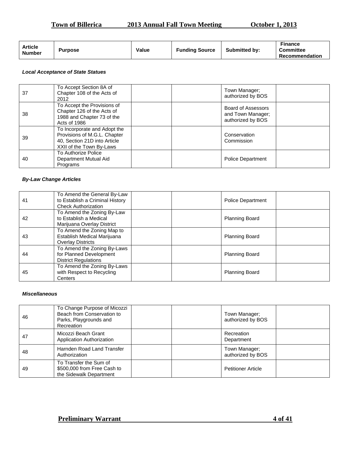## **Town of Billerica** 2013 Annual Fall Town Meeting October 1, 2013

| <b>Article</b><br><b>Number</b> | <b>Purpose</b> | Value | <b>Funding Source</b> | <b>Submitted by:</b> | <b>Finance</b><br><b>Committee</b><br>Recommendation |
|---------------------------------|----------------|-------|-----------------------|----------------------|------------------------------------------------------|
|---------------------------------|----------------|-------|-----------------------|----------------------|------------------------------------------------------|

#### *Local Acceptance of State Statues*

| 37 | To Accept Section 8A of<br>Chapter 108 of the Acts of<br>2012                                                            |  | Town Manager;<br>authorized by BOS                           |  |
|----|--------------------------------------------------------------------------------------------------------------------------|--|--------------------------------------------------------------|--|
| 38 | To Accept the Provisions of<br>Chapter 126 of the Acts of<br>1988 and Chapter 73 of the<br>Acts of 1986                  |  | Board of Assessors<br>and Town Manager;<br>authorized by BOS |  |
| 39 | To Incorporate and Adopt the<br>Provisions of M.G.L. Chapter<br>40, Section 21D into Article<br>XXII of the Town By-Laws |  | Conservation<br>Commission                                   |  |
| 40 | To Authorize Police<br>Department Mutual Aid<br>Programs                                                                 |  | <b>Police Department</b>                                     |  |

#### *By-Law Change Articles*

| 41 | To Amend the General By-Law<br>to Establish a Criminal History<br><b>Check Authorization</b> | <b>Police Department</b> |
|----|----------------------------------------------------------------------------------------------|--------------------------|
| 42 | To Amend the Zoning By-Law<br>to Establish a Medical<br>Marijuana Overlay District           | <b>Planning Board</b>    |
| 43 | To Amend the Zoning Map to<br>Establish Medical Marijuana<br><b>Overlay Districts</b>        | <b>Planning Board</b>    |
| 44 | To Amend the Zoning By-Laws<br>for Planned Development<br><b>District Regulations</b>        | <b>Planning Board</b>    |
| 45 | To Amend the Zoning By-Laws<br>with Respect to Recycling<br>Centers                          | <b>Planning Board</b>    |

#### *Miscellaneous*

| 46 | To Change Purpose of Micozzi<br>Beach from Conservation to<br>Parks, Playgrounds and<br>Recreation | Town Manager;<br>authorized by BOS |  |
|----|----------------------------------------------------------------------------------------------------|------------------------------------|--|
| 47 | Micozzi Beach Grant<br>Application Authorization                                                   | Recreation<br>Department           |  |
| 48 | Harnden Road Land Transfer<br>Authorization                                                        | Town Manager;<br>authorized by BOS |  |
| 49 | To Transfer the Sum of<br>\$500,000 from Free Cash to<br>the Sidewalk Department                   | <b>Petitioner Article</b>          |  |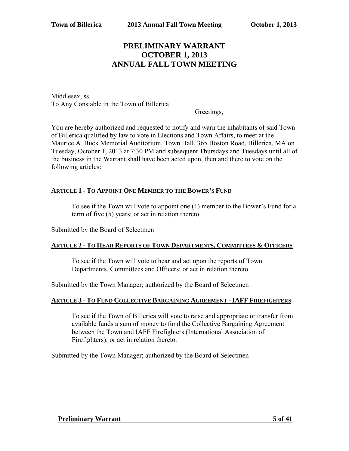## **PRELIMINARY WARRANT OCTOBER 1, 2013 ANNUAL FALL TOWN MEETING**

Middlesex, ss. To Any Constable in the Town of Billerica

Greetings,

You are hereby authorized and requested to notify and warn the inhabitants of said Town of Billerica qualified by law to vote in Elections and Town Affairs, to meet at the Maurice A. Buck Memorial Auditorium, Town Hall, 365 Boston Road, Billerica, MA on Tuesday, October 1, 2013 at 7:30 PM and subsequent Thursdays and Tuesdays until all of the business in the Warrant shall have been acted upon, then and there to vote on the following articles:

## **ARTICLE 1 - TO APPOINT ONE MEMBER TO THE BOWER'S FUND**

To see if the Town will vote to appoint one (1) member to the Bower's Fund for a term of five (5) years; or act in relation thereto.

Submitted by the Board of Selectmen

## **ARTICLE 2 - TO HEAR REPORTS OF TOWN DEPARTMENTS, COMMITTEES & OFFICERS**

To see if the Town will vote to hear and act upon the reports of Town Departments, Committees and Officers; or act in relation thereto.

Submitted by the Town Manager; authorized by the Board of Selectmen

## **ARTICLE 3 - TO FUND COLLECTIVE BARGAINING AGREEMENT - IAFF FIREFIGHTERS**

To see if the Town of Billerica will vote to raise and appropriate or transfer from available funds a sum of money to fund the Collective Bargaining Agreement between the Town and IAFF Firefighters (International Association of Firefighters); or act in relation thereto.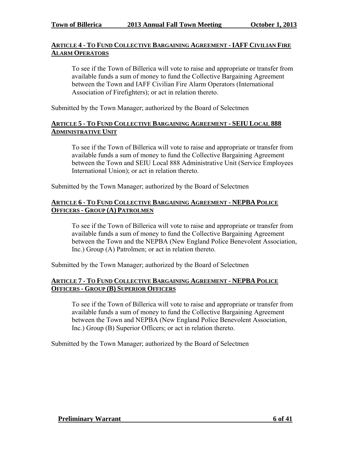## **ARTICLE 4 - TO FUND COLLECTIVE BARGAINING AGREEMENT - IAFF CIVILIAN FIRE ALARM OPERATORS**

To see if the Town of Billerica will vote to raise and appropriate or transfer from available funds a sum of money to fund the Collective Bargaining Agreement between the Town and IAFF Civilian Fire Alarm Operators (International Association of Firefighters); or act in relation thereto.

Submitted by the Town Manager; authorized by the Board of Selectmen

## **ARTICLE 5 - TO FUND COLLECTIVE BARGAINING AGREEMENT - SEIU LOCAL 888 ADMINISTRATIVE UNIT**

To see if the Town of Billerica will vote to raise and appropriate or transfer from available funds a sum of money to fund the Collective Bargaining Agreement between the Town and SEIU Local 888 Administrative Unit (Service Employees International Union); or act in relation thereto.

Submitted by the Town Manager; authorized by the Board of Selectmen

## **ARTICLE 6 - TO FUND COLLECTIVE BARGAINING AGREEMENT - NEPBA POLICE OFFICERS - GROUP (A) PATROLMEN**

To see if the Town of Billerica will vote to raise and appropriate or transfer from available funds a sum of money to fund the Collective Bargaining Agreement between the Town and the NEPBA (New England Police Benevolent Association, Inc.) Group (A) Patrolmen; or act in relation thereto.

Submitted by the Town Manager; authorized by the Board of Selectmen

## **ARTICLE 7 - TO FUND COLLECTIVE BARGAINING AGREEMENT - NEPBA POLICE OFFICERS - GROUP (B) SUPERIOR OFFICERS**

To see if the Town of Billerica will vote to raise and appropriate or transfer from available funds a sum of money to fund the Collective Bargaining Agreement between the Town and NEPBA (New England Police Benevolent Association, Inc.) Group (B) Superior Officers; or act in relation thereto.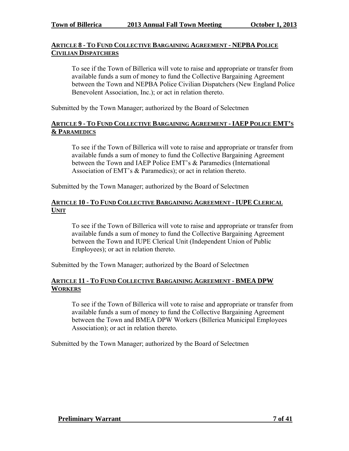## **ARTICLE 8 - TO FUND COLLECTIVE BARGAINING AGREEMENT - NEPBA POLICE CIVILIAN DISPATCHERS**

To see if the Town of Billerica will vote to raise and appropriate or transfer from available funds a sum of money to fund the Collective Bargaining Agreement between the Town and NEPBA Police Civilian Dispatchers (New England Police Benevolent Association, Inc.); or act in relation thereto.

Submitted by the Town Manager; authorized by the Board of Selectmen

## **ARTICLE 9 - TO FUND COLLECTIVE BARGAINING AGREEMENT - IAEP POLICE EMT'S & PARAMEDICS**

To see if the Town of Billerica will vote to raise and appropriate or transfer from available funds a sum of money to fund the Collective Bargaining Agreement between the Town and IAEP Police EMT's & Paramedics (International Association of EMT's & Paramedics); or act in relation thereto.

Submitted by the Town Manager; authorized by the Board of Selectmen

## **ARTICLE 10 - TO FUND COLLECTIVE BARGAINING AGREEMENT - IUPE CLERICAL UNIT**

To see if the Town of Billerica will vote to raise and appropriate or transfer from available funds a sum of money to fund the Collective Bargaining Agreement between the Town and IUPE Clerical Unit (Independent Union of Public Employees); or act in relation thereto.

Submitted by the Town Manager; authorized by the Board of Selectmen

## **ARTICLE 11 - TO FUND COLLECTIVE BARGAINING AGREEMENT - BMEA DPW WORKERS**

To see if the Town of Billerica will vote to raise and appropriate or transfer from available funds a sum of money to fund the Collective Bargaining Agreement between the Town and BMEA DPW Workers (Billerica Municipal Employees Association); or act in relation thereto.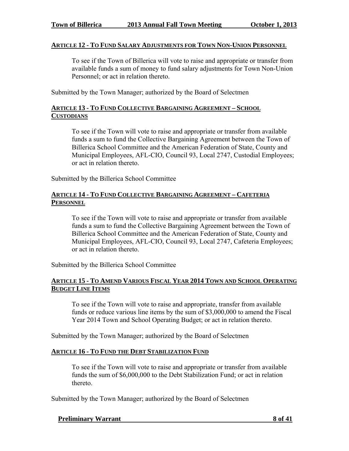#### **ARTICLE 12 - TO FUND SALARY ADJUSTMENTS FOR TOWN NON-UNION PERSONNEL**

To see if the Town of Billerica will vote to raise and appropriate or transfer from available funds a sum of money to fund salary adjustments for Town Non-Union Personnel; or act in relation thereto.

Submitted by the Town Manager; authorized by the Board of Selectmen

## **ARTICLE 13 - TO FUND COLLECTIVE BARGAINING AGREEMENT – SCHOOL CUSTODIANS**

To see if the Town will vote to raise and appropriate or transfer from available funds a sum to fund the Collective Bargaining Agreement between the Town of Billerica School Committee and the American Federation of State, County and Municipal Employees, AFL-CIO, Council 93, Local 2747, Custodial Employees; or act in relation thereto.

Submitted by the Billerica School Committee

## **ARTICLE 14 - TO FUND COLLECTIVE BARGAINING AGREEMENT – CAFETERIA PERSONNEL**

To see if the Town will vote to raise and appropriate or transfer from available funds a sum to fund the Collective Bargaining Agreement between the Town of Billerica School Committee and the American Federation of State, County and Municipal Employees, AFL-CIO, Council 93, Local 2747, Cafeteria Employees; or act in relation thereto.

Submitted by the Billerica School Committee

## **ARTICLE 15 - TO AMEND VARIOUS FISCAL YEAR 2014 TOWN AND SCHOOL OPERATING BUDGET LINE ITEMS**

To see if the Town will vote to raise and appropriate, transfer from available funds or reduce various line items by the sum of \$3,000,000 to amend the Fiscal Year 2014 Town and School Operating Budget; or act in relation thereto.

Submitted by the Town Manager; authorized by the Board of Selectmen

## **ARTICLE 16 - TO FUND THE DEBT STABILIZATION FUND**

To see if the Town will vote to raise and appropriate or transfer from available funds the sum of \$6,000,000 to the Debt Stabilization Fund; or act in relation thereto.

Submitted by the Town Manager; authorized by the Board of Selectmen

**Preliminary Warrant 8 of 41**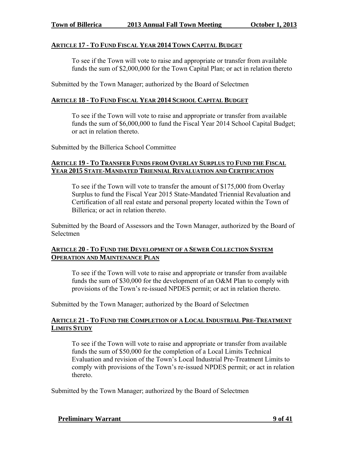#### **ARTICLE 17 - TO FUND FISCAL YEAR 2014 TOWN CAPITAL BUDGET**

To see if the Town will vote to raise and appropriate or transfer from available funds the sum of \$2,000,000 for the Town Capital Plan; or act in relation thereto

Submitted by the Town Manager; authorized by the Board of Selectmen

## **ARTICLE 18 - TO FUND FISCAL YEAR 2014 SCHOOL CAPITAL BUDGET**

To see if the Town will vote to raise and appropriate or transfer from available funds the sum of \$6,000,000 to fund the Fiscal Year 2014 School Capital Budget; or act in relation thereto.

Submitted by the Billerica School Committee

#### **ARTICLE 19 - TO TRANSFER FUNDS FROM OVERLAY SURPLUS TO FUND THE FISCAL YEAR 2015 STATE-MANDATED TRIENNIAL REVALUATION AND CERTIFICATION**

To see if the Town will vote to transfer the amount of \$175,000 from Overlay Surplus to fund the Fiscal Year 2015 State-Mandated Triennial Revaluation and Certification of all real estate and personal property located within the Town of Billerica; or act in relation thereto.

Submitted by the Board of Assessors and the Town Manager, authorized by the Board of Selectmen

## **ARTICLE 20 - TO FUND THE DEVELOPMENT OF A SEWER COLLECTION SYSTEM OPERATION AND MAINTENANCE PLAN**

To see if the Town will vote to raise and appropriate or transfer from available funds the sum of \$30,000 for the development of an O&M Plan to comply with provisions of the Town's re-issued NPDES permit; or act in relation thereto.

Submitted by the Town Manager; authorized by the Board of Selectmen

## **ARTICLE 21 - TO FUND THE COMPLETION OF A LOCAL INDUSTRIAL PRE-TREATMENT LIMITS STUDY**

To see if the Town will vote to raise and appropriate or transfer from available funds the sum of \$50,000 for the completion of a Local Limits Technical Evaluation and revision of the Town's Local Industrial Pre-Treatment Limits to comply with provisions of the Town's re-issued NPDES permit; or act in relation thereto.

Submitted by the Town Manager; authorized by the Board of Selectmen

#### **Preliminary Warrant 9 of 41**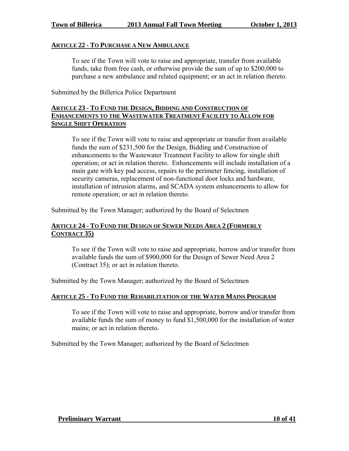#### **ARTICLE 22 - TO PURCHASE A NEW AMBULANCE**

To see if the Town will vote to raise and appropriate, transfer from available funds, take from free cash, or otherwise provide the sum of up to \$200,000 to purchase a new ambulance and related equipment; or an act in relation thereto.

Submitted by the Billerica Police Department

## **ARTICLE 23 - TO FUND THE DESIGN, BIDDING AND CONSTRUCTION OF ENHANCEMENTS TO THE WASTEWATER TREATMENT FACILITY TO ALLOW FOR SINGLE SHIFT OPERATION**

To see if the Town will vote to raise and appropriate or transfer from available funds the sum of \$231,500 for the Design, Bidding and Construction of enhancements to the Wastewater Treatment Facility to allow for single shift operation; or act in relation thereto. Enhancements will include installation of a main gate with key pad access, repairs to the perimeter fencing, installation of security cameras, replacement of non-functional door locks and hardware, installation of intrusion alarms, and SCADA system enhancements to allow for remote operation; or act in relation thereto.

Submitted by the Town Manager; authorized by the Board of Selectmen

## **ARTICLE 24 - TO FUND THE DESIGN OF SEWER NEEDS AREA 2 (FORMERLY CONTRACT 35)**

To see if the Town will vote to raise and appropriate, borrow and/or transfer from available funds the sum of \$900,000 for the Design of Sewer Need Area 2 (Contract 35); or act in relation thereto.

Submitted by the Town Manager; authorized by the Board of Selectmen

#### **ARTICLE 25 - TO FUND THE REHABILITATION OF THE WATER MAINS PROGRAM**

To see if the Town will vote to raise and appropriate, borrow and/or transfer from available funds the sum of money to fund \$1,500,000 for the installation of water mains; or act in relation thereto.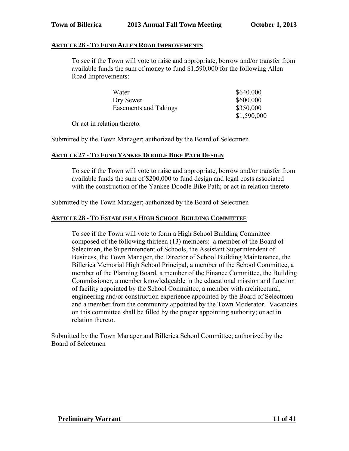#### **ARTICLE 26 - TO FUND ALLEN ROAD IMPROVEMENTS**

To see if the Town will vote to raise and appropriate, borrow and/or transfer from available funds the sum of money to fund \$1,590,000 for the following Allen Road Improvements:

| Water                 | \$640,000   |
|-----------------------|-------------|
| Dry Sewer             | \$600,000   |
| Easements and Takings | \$350,000   |
|                       | \$1,590,000 |

Or act in relation thereto.

Submitted by the Town Manager; authorized by the Board of Selectmen

## **ARTICLE 27 - TO FUND YANKEE DOODLE BIKE PATH DESIGN**

To see if the Town will vote to raise and appropriate, borrow and/or transfer from available funds the sum of \$200,000 to fund design and legal costs associated with the construction of the Yankee Doodle Bike Path; or act in relation thereto.

Submitted by the Town Manager; authorized by the Board of Selectmen

## **ARTICLE 28 - TO ESTABLISH A HIGH SCHOOL BUILDING COMMITTEE**

To see if the Town will vote to form a High School Building Committee composed of the following thirteen (13) members: a member of the Board of Selectmen, the Superintendent of Schools, the Assistant Superintendent of Business, the Town Manager, the Director of School Building Maintenance, the Billerica Memorial High School Principal, a member of the School Committee, a member of the Planning Board, a member of the Finance Committee, the Building Commissioner, a member knowledgeable in the educational mission and function of facility appointed by the School Committee, a member with architectural, engineering and/or construction experience appointed by the Board of Selectmen and a member from the community appointed by the Town Moderator. Vacancies on this committee shall be filled by the proper appointing authority; or act in relation thereto.

Submitted by the Town Manager and Billerica School Committee; authorized by the Board of Selectmen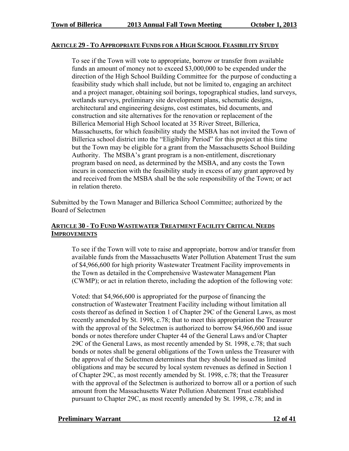#### **ARTICLE 29 - TO APPROPRIATE FUNDS FOR A HIGH SCHOOL FEASIBILITY STUDY**

To see if the Town will vote to appropriate, borrow or transfer from available funds an amount of money not to exceed \$3,000,000 to be expended under the direction of the High School Building Committee for the purpose of conducting a feasibility study which shall include, but not be limited to, engaging an architect and a project manager, obtaining soil borings, topographical studies, land surveys, wetlands surveys, preliminary site development plans, schematic designs, architectural and engineering designs, cost estimates, bid documents, and construction and site alternatives for the renovation or replacement of the Billerica Memorial High School located at 35 River Street, Billerica, Massachusetts, for which feasibility study the MSBA has not invited the Town of Billerica school district into the "Eligibility Period" for this project at this time but the Town may be eligible for a grant from the Massachusetts School Building Authority. The MSBA's grant program is a non-entitlement, discretionary program based on need, as determined by the MSBA, and any costs the Town incurs in connection with the feasibility study in excess of any grant approved by and received from the MSBA shall be the sole responsibility of the Town; or act in relation thereto.

Submitted by the Town Manager and Billerica School Committee; authorized by the Board of Selectmen

## **ARTICLE 30 - TO FUND WASTEWATER TREATMENT FACILITY CRITICAL NEEDS IMPROVEMENTS**

To see if the Town will vote to raise and appropriate, borrow and/or transfer from available funds from the Massachusetts Water Pollution Abatement Trust the sum of \$4,966,600 for high priority Wastewater Treatment Facility improvements in the Town as detailed in the Comprehensive Wastewater Management Plan (CWMP); or act in relation thereto, including the adoption of the following vote:

Voted: that \$4,966,600 is appropriated for the purpose of financing the construction of Wastewater Treatment Facility including without limitation all costs thereof as defined in Section 1 of Chapter 29C of the General Laws, as most recently amended by St. 1998, c.78; that to meet this appropriation the Treasurer with the approval of the Selectmen is authorized to borrow \$4,966,600 and issue bonds or notes therefore under Chapter 44 of the General Laws and/or Chapter 29C of the General Laws, as most recently amended by St. 1998, c.78; that such bonds or notes shall be general obligations of the Town unless the Treasurer with the approval of the Selectmen determines that they should be issued as limited obligations and may be secured by local system revenues as defined in Section 1 of Chapter 29C, as most recently amended by St. 1998, c.78; that the Treasurer with the approval of the Selectmen is authorized to borrow all or a portion of such amount from the Massachusetts Water Pollution Abatement Trust established pursuant to Chapter 29C, as most recently amended by St. 1998, c.78; and in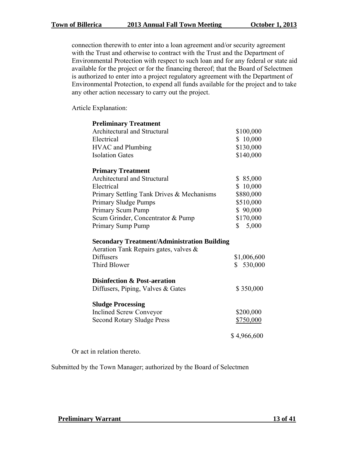connection therewith to enter into a loan agreement and/or security agreement with the Trust and otherwise to contract with the Trust and the Department of Environmental Protection with respect to such loan and for any federal or state aid available for the project or for the financing thereof; that the Board of Selectmen is authorized to enter into a project regulatory agreement with the Department of Environmental Protection, to expend all funds available for the project and to take any other action necessary to carry out the project.

Article Explanation:

| <b>Preliminary Treatment</b>                       |             |
|----------------------------------------------------|-------------|
| Architectural and Structural                       | \$100,000   |
| Electrical                                         | \$10,000    |
| <b>HVAC</b> and Plumbing                           | \$130,000   |
| <b>Isolation Gates</b>                             | \$140,000   |
| <b>Primary Treatment</b>                           |             |
| Architectural and Structural                       | \$85,000    |
| Electrical                                         | \$10,000    |
| Primary Settling Tank Drives & Mechanisms          | \$880,000   |
| Primary Sludge Pumps                               | \$510,000   |
| Primary Scum Pump                                  | \$90,000    |
| Scum Grinder, Concentrator & Pump                  | \$170,000   |
| Primary Sump Pump                                  | \$5,000     |
| <b>Secondary Treatment/Administration Building</b> |             |
| Aeration Tank Repairs gates, valves &              |             |
| <b>Diffusers</b>                                   | \$1,006,600 |
| <b>Third Blower</b>                                | \$530,000   |
| <b>Disinfection &amp; Post-aeration</b>            |             |
| Diffusers, Piping, Valves $& Gates$                | \$350,000   |
| <b>Sludge Processing</b>                           |             |
| <b>Inclined Screw Conveyor</b>                     | \$200,000   |
| <b>Second Rotary Sludge Press</b>                  | \$750,000   |
|                                                    |             |

Or act in relation thereto.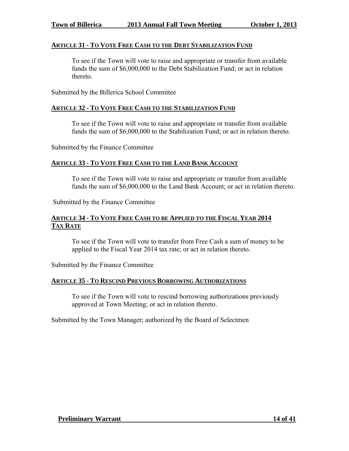#### **ARTICLE 31 - TO VOTE FREE CASH TO THE DEBT STABILIZATION FUND**

To see if the Town will vote to raise and appropriate or transfer from available funds the sum of \$6,000,000 to the Debt Stabilization Fund; or act in relation thereto.

Submitted by the Billerica School Committee

## **ARTICLE 32 - TO VOTE FREE CASH TO THE STABILIZATION FUND**

To see if the Town will vote to raise and appropriate or transfer from available funds the sum of \$6,000,000 to the Stabilization Fund; or act in relation thereto.

Submitted by the Finance Committee

#### **ARTICLE 33 - TO VOTE FREE CASH TO THE LAND BANK ACCOUNT**

To see if the Town will vote to raise and appropriate or transfer from available funds the sum of \$6,000,000 to the Land Bank Account; or act in relation thereto.

Submitted by the Finance Committee

## **ARTICLE 34 - TO VOTE FREE CASH TO BE APPLIED TO THE FISCAL YEAR 2014 TAX RATE**

To see if the Town will vote to transfer from Free Cash a sum of money to be applied to the Fiscal Year 2014 tax rate; or act in relation thereto.

Submitted by the Finance Committee

#### **ARTICLE 35 - TO RESCIND PREVIOUS BORROWING AUTHORIZATIONS**

To see if the Town will vote to rescind borrowing authorizations previously approved at Town Meeting; or act in relation thereto.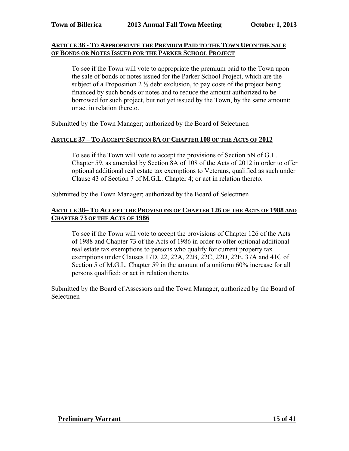## **ARTICLE 36 - TO APPROPRIATE THE PREMIUM PAID TO THE TOWN UPON THE SALE OF BONDS OR NOTES ISSUED FOR THE PARKER SCHOOL PROJECT**

To see if the Town will vote to appropriate the premium paid to the Town upon the sale of bonds or notes issued for the Parker School Project, which are the subject of a Proposition 2  $\frac{1}{2}$  debt exclusion, to pay costs of the project being financed by such bonds or notes and to reduce the amount authorized to be borrowed for such project, but not yet issued by the Town, by the same amount; or act in relation thereto.

Submitted by the Town Manager; authorized by the Board of Selectmen

## **ARTICLE 37 – TO ACCEPT SECTION 8A OF CHAPTER 108 OF THE ACTS OF 2012**

To see if the Town will vote to accept the provisions of Section 5N of G.L. Chapter 59, as amended by Section 8A of 108 of the Acts of 2012 in order to offer optional additional real estate tax exemptions to Veterans, qualified as such under Clause 43 of Section 7 of M.G.L. Chapter 4; or act in relation thereto.

Submitted by the Town Manager; authorized by the Board of Selectmen

## **ARTICLE 38– TO ACCEPT THE PROVISIONS OF CHAPTER 126 OF THE ACTS OF 1988 AND CHAPTER 73 OF THE ACTS OF 1986**

To see if the Town will vote to accept the provisions of Chapter 126 of the Acts of 1988 and Chapter 73 of the Acts of 1986 in order to offer optional additional real estate tax exemptions to persons who qualify for current property tax exemptions under Clauses 17D, 22, 22A, 22B, 22C, 22D, 22E, 37A and 41C of Section 5 of M.G.L. Chapter 59 in the amount of a uniform 60% increase for all persons qualified; or act in relation thereto.

Submitted by the Board of Assessors and the Town Manager, authorized by the Board of Selectmen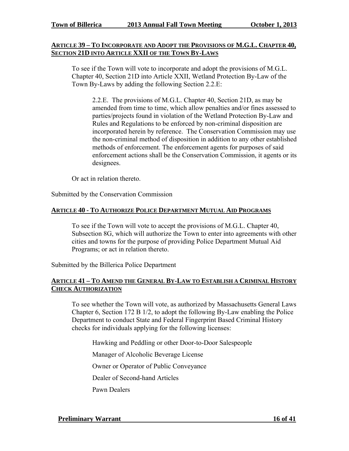#### **ARTICLE 39 – TO INCORPORATE AND ADOPT THE PROVISIONS OF M.G.L. CHAPTER 40, SECTION 21D INTO ARTICLE XXII OF THE TOWN BY-LAWS**

To see if the Town will vote to incorporate and adopt the provisions of M.G.L. Chapter 40, Section 21D into Article XXII, Wetland Protection By-Law of the Town By-Laws by adding the following Section 2.2.E:

2.2.E. The provisions of M.G.L. Chapter 40, Section 21D, as may be amended from time to time, which allow penalties and/or fines assessed to parties/projects found in violation of the Wetland Protection By-Law and Rules and Regulations to be enforced by non-criminal disposition are incorporated herein by reference. The Conservation Commission may use the non-criminal method of disposition in addition to any other established methods of enforcement. The enforcement agents for purposes of said enforcement actions shall be the Conservation Commission, it agents or its designees.

Or act in relation thereto.

Submitted by the Conservation Commission

#### **ARTICLE 40 - TO AUTHORIZE POLICE DEPARTMENT MUTUAL AID PROGRAMS**

To see if the Town will vote to accept the provisions of M.G.L. Chapter 40, Subsection 8G, which will authorize the Town to enter into agreements with other cities and towns for the purpose of providing Police Department Mutual Aid Programs; or act in relation thereto.

Submitted by the Billerica Police Department

## **ARTICLE 41 – TO AMEND THE GENERAL BY-LAW TO ESTABLISH A CRIMINAL HISTORY CHECK AUTHORIZATION**

To see whether the Town will vote, as authorized by Massachusetts General Laws Chapter 6, Section 172 B 1/2, to adopt the following By-Law enabling the Police Department to conduct State and Federal Fingerprint Based Criminal History checks for individuals applying for the following licenses:

Hawking and Peddling or other Door-to-Door Salespeople

Manager of Alcoholic Beverage License

Owner or Operator of Public Conveyance

Dealer of Second-hand Articles

Pawn Dealers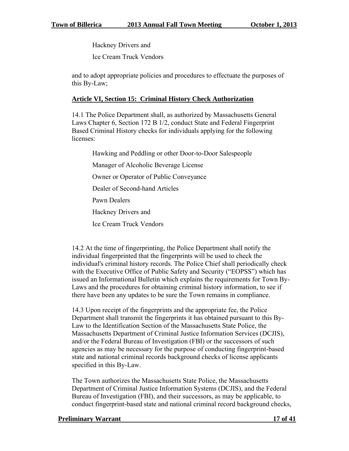Hackney Drivers and

Ice Cream Truck Vendors

and to adopt appropriate policies and procedures to effectuate the purposes of this By-Law;

## **Article VI, Section 15: Criminal History Check Authorization**

14.1 The Police Department shall, as authorized by Massachusetts General Laws Chapter 6, Section 172 B 1/2, conduct State and Federal Fingerprint Based Criminal History checks for individuals applying for the following licenses:

Hawking and Peddling or other Door-to-Door Salespeople

Manager of Alcoholic Beverage License

Owner or Operator of Public Conveyance

Dealer of Second-hand Articles

Pawn Dealers

Hackney Drivers and

Ice Cream Truck Vendors

14.2 At the time of fingerprinting, the Police Department shall notify the individual fingerprinted that the fingerprints will be used to check the individual's criminal history records. The Police Chief shall periodically check with the Executive Office of Public Safety and Security ("EOPSS") which has issued an Informational Bulletin which explains the requirements for Town By-Laws and the procedures for obtaining criminal history information, to see if there have been any updates to be sure the Town remains in compliance.

14.3 Upon receipt of the fingerprints and the appropriate fee, the Police Department shall transmit the fingerprints it has obtained pursuant to this By-Law to the Identification Section of the Massachusetts State Police, the Massachusetts Department of Criminal Justice Information Services (DCJIS), and/or the Federal Bureau of Investigation (FBI) or the successors of such agencies as may be necessary for the purpose of conducting fingerprint-based state and national criminal records background checks of license applicants specified in this By-Law.

The Town authorizes the Massachusetts State Police, the Massachusetts Department of Criminal Justice Information Systems (DCJIS), and the Federal Bureau of Investigation (FBI), and their successors, as may be applicable, to conduct fingerprint-based state and national criminal record background checks,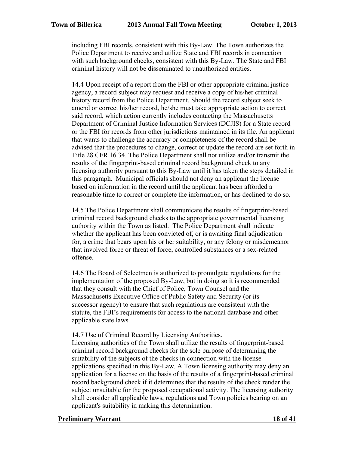including FBI records, consistent with this By-Law. The Town authorizes the Police Department to receive and utilize State and FBI records in connection with such background checks, consistent with this By-Law. The State and FBI criminal history will not be disseminated to unauthorized entities.

14.4 Upon receipt of a report from the FBI or other appropriate criminal justice agency, a record subject may request and receive a copy of his/her criminal history record from the Police Department. Should the record subject seek to amend or correct his/her record, he/she must take appropriate action to correct said record, which action currently includes contacting the Massachusetts Department of Criminal Justice Information Services (DCJIS) for a State record or the FBI for records from other jurisdictions maintained in its file. An applicant that wants to challenge the accuracy or completeness of the record shall be advised that the procedures to change, correct or update the record are set forth in Title 28 CFR 16.34. The Police Department shall not utilize and/or transmit the results of the fingerprint-based criminal record background check to any licensing authority pursuant to this By-Law until it has taken the steps detailed in this paragraph. Municipal officials should not deny an applicant the license based on information in the record until the applicant has been afforded a reasonable time to correct or complete the information, or has declined to do so.

14.5 The Police Department shall communicate the results of fingerprint-based criminal record background checks to the appropriate governmental licensing authority within the Town as listed. The Police Department shall indicate whether the applicant has been convicted of, or is awaiting final adjudication for, a crime that bears upon his or her suitability, or any felony or misdemeanor that involved force or threat of force, controlled substances or a sex-related offense.

14.6 The Board of Selectmen is authorized to promulgate regulations for the implementation of the proposed By-Law, but in doing so it is recommended that they consult with the Chief of Police, Town Counsel and the Massachusetts Executive Office of Public Safety and Security (or its successor agency) to ensure that such regulations are consistent with the statute, the FBI's requirements for access to the national database and other applicable state laws.

14.7 Use of Criminal Record by Licensing Authorities.

Licensing authorities of the Town shall utilize the results of fingerprint-based criminal record background checks for the sole purpose of determining the suitability of the subjects of the checks in connection with the license applications specified in this By-Law. A Town licensing authority may deny an application for a license on the basis of the results of a fingerprint-based criminal record background check if it determines that the results of the check render the subject unsuitable for the proposed occupational activity. The licensing authority shall consider all applicable laws, regulations and Town policies bearing on an applicant's suitability in making this determination.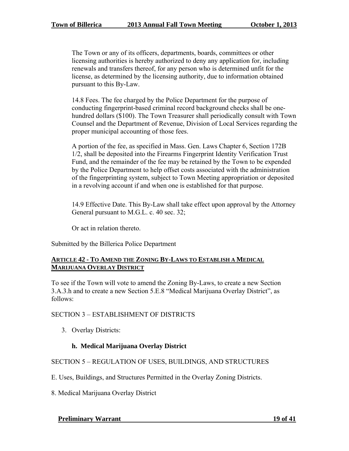The Town or any of its officers, departments, boards, committees or other licensing authorities is hereby authorized to deny any application for, including renewals and transfers thereof, for any person who is determined unfit for the license, as determined by the licensing authority, due to information obtained pursuant to this By-Law.

14.8 Fees. The fee charged by the Police Department for the purpose of conducting fingerprint-based criminal record background checks shall be onehundred dollars (\$100). The Town Treasurer shall periodically consult with Town Counsel and the Department of Revenue, Division of Local Services regarding the proper municipal accounting of those fees.

A portion of the fee, as specified in Mass. Gen. Laws Chapter 6, Section 172B 1/2, shall be deposited into the Firearms Fingerprint Identity Verification Trust Fund, and the remainder of the fee may be retained by the Town to be expended by the Police Department to help offset costs associated with the administration of the fingerprinting system, subject to Town Meeting appropriation or deposited in a revolving account if and when one is established for that purpose.

14.9 Effective Date. This By-Law shall take effect upon approval by the Attorney General pursuant to M.G.L. c. 40 sec. 32;

Or act in relation thereto.

Submitted by the Billerica Police Department

#### **ARTICLE 42 - TO AMEND THE ZONING BY-LAWS TO ESTABLISH A MEDICAL MARIJUANA OVERLAY DISTRICT**

To see if the Town will vote to amend the Zoning By-Laws, to create a new Section 3.A.3.h and to create a new Section 5.E.8 "Medical Marijuana Overlay District", as follows:

#### SECTION 3 – ESTABLISHMENT OF DISTRICTS

3. Overlay Districts:

## **h. Medical Marijuana Overlay District**

## SECTION 5 – REGULATION OF USES, BUILDINGS, AND STRUCTURES

- E. Uses, Buildings, and Structures Permitted in the Overlay Zoning Districts.
- 8. Medical Marijuana Overlay District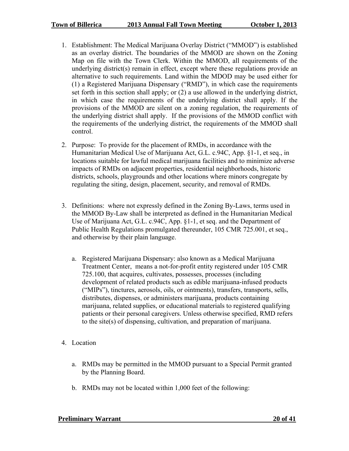- 1. Establishment: The Medical Marijuana Overlay District ("MMOD") is established as an overlay district. The boundaries of the MMOD are shown on the Zoning Map on file with the Town Clerk. Within the MMOD, all requirements of the underlying district(s) remain in effect, except where these regulations provide an alternative to such requirements. Land within the MDOD may be used either for (1) a Registered Marijuana Dispensary ("RMD"), in which case the requirements set forth in this section shall apply; or (2) a use allowed in the underlying district, in which case the requirements of the underlying district shall apply. If the provisions of the MMOD are silent on a zoning regulation, the requirements of the underlying district shall apply. If the provisions of the MMOD conflict with the requirements of the underlying district, the requirements of the MMOD shall control.
- 2. Purpose: To provide for the placement of RMDs, in accordance with the Humanitarian Medical Use of Marijuana Act, G.L. c.94C, App. §1-1, et seq., in locations suitable for lawful medical marijuana facilities and to minimize adverse impacts of RMDs on adjacent properties, residential neighborhoods, historic districts, schools, playgrounds and other locations where minors congregate by regulating the siting, design, placement, security, and removal of RMDs.
- 3. Definitions: where not expressly defined in the Zoning By-Laws, terms used in the MMOD By-Law shall be interpreted as defined in the Humanitarian Medical Use of Marijuana Act, G.L. c.94C, App. §1-1, et seq. and the Department of Public Health Regulations promulgated thereunder, 105 CMR 725.001, et seq., and otherwise by their plain language.
	- a. Registered Marijuana Dispensary: also known as a Medical Marijuana Treatment Center, means a not-for-profit entity registered under 105 CMR 725.100, that acquires, cultivates, possesses, processes (including development of related products such as edible marijuana-infused products ("MIPs"), tinctures, aerosols, oils, or ointments), transfers, transports, sells, distributes, dispenses, or administers marijuana, products containing marijuana, related supplies, or educational materials to registered qualifying patients or their personal caregivers. Unless otherwise specified, RMD refers to the site(s) of dispensing, cultivation, and preparation of marijuana.
- 4. Location
	- a. RMDs may be permitted in the MMOD pursuant to a Special Permit granted by the Planning Board.
	- b. RMDs may not be located within 1,000 feet of the following: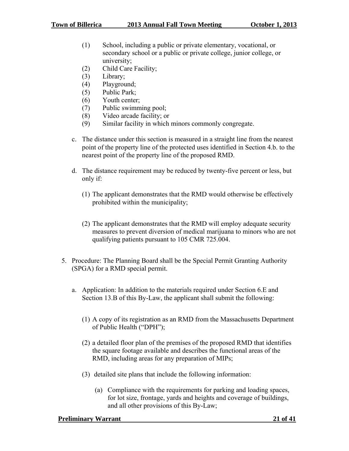- (1) School, including a public or private elementary, vocational, or secondary school or a public or private college, junior college, or university;
- (2) Child Care Facility;
- (3) Library;
- (4) Playground;
- (5) Public Park;
- (6) Youth center;
- (7) Public swimming pool;
- (8) Video arcade facility; or
- (9) Similar facility in which minors commonly congregate.
- c. The distance under this section is measured in a straight line from the nearest point of the property line of the protected uses identified in Section 4.b. to the nearest point of the property line of the proposed RMD.
- d. The distance requirement may be reduced by twenty-five percent or less, but only if:
	- (1) The applicant demonstrates that the RMD would otherwise be effectively prohibited within the municipality;
	- (2) The applicant demonstrates that the RMD will employ adequate security measures to prevent diversion of medical marijuana to minors who are not qualifying patients pursuant to 105 CMR 725.004.
- 5. Procedure: The Planning Board shall be the Special Permit Granting Authority (SPGA) for a RMD special permit.
	- a. Application: In addition to the materials required under Section 6.E and Section 13.B of this By-Law, the applicant shall submit the following:
		- (1) A copy of its registration as an RMD from the Massachusetts Department of Public Health ("DPH");
		- (2) a detailed floor plan of the premises of the proposed RMD that identifies the square footage available and describes the functional areas of the RMD, including areas for any preparation of MIPs;
		- (3) detailed site plans that include the following information:
			- (a) Compliance with the requirements for parking and loading spaces, for lot size, frontage, yards and heights and coverage of buildings, and all other provisions of this By-Law;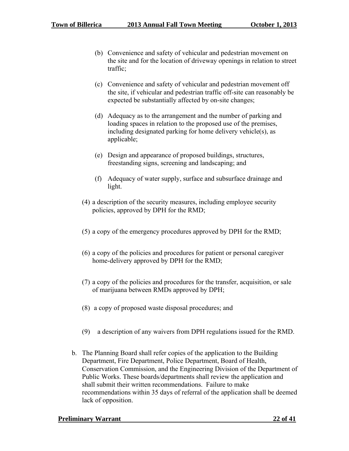- (b) Convenience and safety of vehicular and pedestrian movement on the site and for the location of driveway openings in relation to street traffic;
- (c) Convenience and safety of vehicular and pedestrian movement off the site, if vehicular and pedestrian traffic off-site can reasonably be expected be substantially affected by on-site changes;
- (d) Adequacy as to the arrangement and the number of parking and loading spaces in relation to the proposed use of the premises, including designated parking for home delivery vehicle(s), as applicable;
- (e) Design and appearance of proposed buildings, structures, freestanding signs, screening and landscaping; and
- (f) Adequacy of water supply, surface and subsurface drainage and light.
- (4) a description of the security measures, including employee security policies, approved by DPH for the RMD;
- (5) a copy of the emergency procedures approved by DPH for the RMD;
- (6) a copy of the policies and procedures for patient or personal caregiver home-delivery approved by DPH for the RMD;
- (7) a copy of the policies and procedures for the transfer, acquisition, or sale of marijuana between RMDs approved by DPH;
- (8) a copy of proposed waste disposal procedures; and
- (9) a description of any waivers from DPH regulations issued for the RMD.
- b. The Planning Board shall refer copies of the application to the Building Department, Fire Department, Police Department, Board of Health, Conservation Commission, and the Engineering Division of the Department of Public Works. These boards/departments shall review the application and shall submit their written recommendations. Failure to make recommendations within 35 days of referral of the application shall be deemed lack of opposition.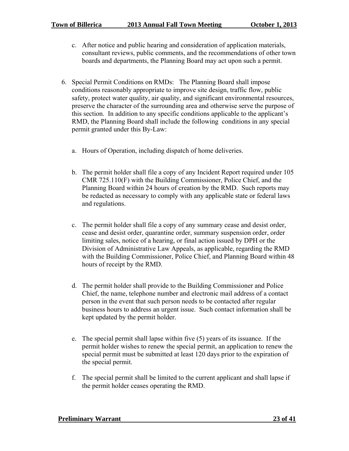- c. After notice and public hearing and consideration of application materials, consultant reviews, public comments, and the recommendations of other town boards and departments, the Planning Board may act upon such a permit.
- 6. Special Permit Conditions on RMDs: The Planning Board shall impose conditions reasonably appropriate to improve site design, traffic flow, public safety, protect water quality, air quality, and significant environmental resources, preserve the character of the surrounding area and otherwise serve the purpose of this section. In addition to any specific conditions applicable to the applicant's RMD, the Planning Board shall include the following conditions in any special permit granted under this By-Law:
	- a. Hours of Operation, including dispatch of home deliveries.
	- b. The permit holder shall file a copy of any Incident Report required under 105 CMR 725.110(F) with the Building Commissioner, Police Chief, and the Planning Board within 24 hours of creation by the RMD. Such reports may be redacted as necessary to comply with any applicable state or federal laws and regulations.
	- c. The permit holder shall file a copy of any summary cease and desist order, cease and desist order, quarantine order, summary suspension order, order limiting sales, notice of a hearing, or final action issued by DPH or the Division of Administrative Law Appeals, as applicable, regarding the RMD with the Building Commissioner, Police Chief, and Planning Board within 48 hours of receipt by the RMD.
	- d. The permit holder shall provide to the Building Commissioner and Police Chief, the name, telephone number and electronic mail address of a contact person in the event that such person needs to be contacted after regular business hours to address an urgent issue. Such contact information shall be kept updated by the permit holder.
	- e. The special permit shall lapse within five (5) years of its issuance. If the permit holder wishes to renew the special permit, an application to renew the special permit must be submitted at least 120 days prior to the expiration of the special permit.
	- f. The special permit shall be limited to the current applicant and shall lapse if the permit holder ceases operating the RMD.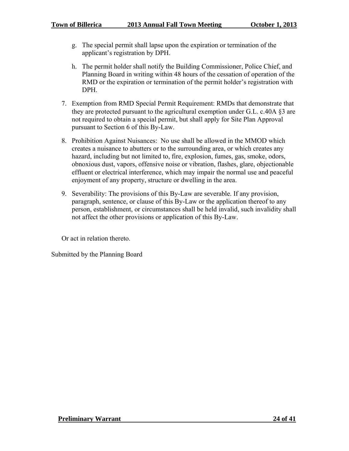- g. The special permit shall lapse upon the expiration or termination of the applicant's registration by DPH.
- h. The permit holder shall notify the Building Commissioner, Police Chief, and Planning Board in writing within 48 hours of the cessation of operation of the RMD or the expiration or termination of the permit holder's registration with DPH.
- 7. Exemption from RMD Special Permit Requirement: RMDs that demonstrate that they are protected pursuant to the agricultural exemption under G.L. c.40A §3 are not required to obtain a special permit, but shall apply for Site Plan Approval pursuant to Section 6 of this By-Law.
- 8. Prohibition Against Nuisances: No use shall be allowed in the MMOD which creates a nuisance to abutters or to the surrounding area, or which creates any hazard, including but not limited to, fire, explosion, fumes, gas, smoke, odors, obnoxious dust, vapors, offensive noise or vibration, flashes, glare, objectionable effluent or electrical interference, which may impair the normal use and peaceful enjoyment of any property, structure or dwelling in the area.
- 9. Severability: The provisions of this By-Law are severable. If any provision, paragraph, sentence, or clause of this By-Law or the application thereof to any person, establishment, or circumstances shall be held invalid, such invalidity shall not affect the other provisions or application of this By-Law.

Or act in relation thereto.

Submitted by the Planning Board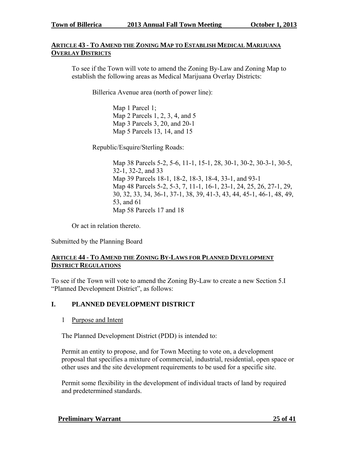## **ARTICLE 43 - TO AMEND THE ZONING MAP TO ESTABLISH MEDICAL MARIJUANA OVERLAY DISTRICTS**

To see if the Town will vote to amend the Zoning By-Law and Zoning Map to establish the following areas as Medical Marijuana Overlay Districts:

Billerica Avenue area (north of power line):

Map 1 Parcel 1; Map 2 Parcels 1, 2, 3, 4, and 5 Map 3 Parcels 3, 20, and 20-1 Map 5 Parcels 13, 14, and 15

Republic/Esquire/Sterling Roads:

Map 38 Parcels 5-2, 5-6, 11-1, 15-1, 28, 30-1, 30-2, 30-3-1, 30-5, 32-1, 32-2, and 33 Map 39 Parcels 18-1, 18-2, 18-3, 18-4, 33-1, and 93-1 Map 48 Parcels 5-2, 5-3, 7, 11-1, 16-1, 23-1, 24, 25, 26, 27-1, 29, 30, 32, 33, 34, 36-1, 37-1, 38, 39, 41-3, 43, 44, 45-1, 46-1, 48, 49, 53, and 61 Map 58 Parcels 17 and 18

Or act in relation thereto.

Submitted by the Planning Board

## **ARTICLE 44 - TO AMEND THE ZONING BY-LAWS FOR PLANNED DEVELOPMENT DISTRICT REGULATIONS**

To see if the Town will vote to amend the Zoning By-Law to create a new Section 5.I "Planned Development District", as follows:

## **I. PLANNED DEVELOPMENT DISTRICT**

1 Purpose and Intent

The Planned Development District (PDD) is intended to:

Permit an entity to propose, and for Town Meeting to vote on, a development proposal that specifies a mixture of commercial, industrial, residential, open space or other uses and the site development requirements to be used for a specific site.

Permit some flexibility in the development of individual tracts of land by required and predetermined standards.

 **Preliminary Warrant 25 of 41**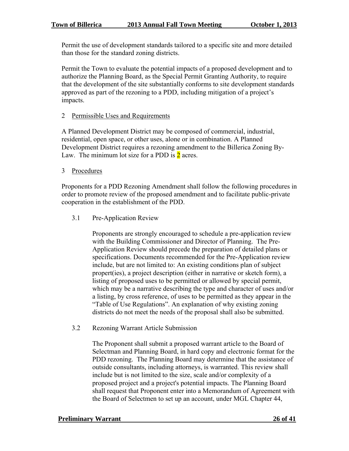Permit the use of development standards tailored to a specific site and more detailed than those for the standard zoning districts.

Permit the Town to evaluate the potential impacts of a proposed development and to authorize the Planning Board, as the Special Permit Granting Authority, to require that the development of the site substantially conforms to site development standards approved as part of the rezoning to a PDD, including mitigation of a project's impacts.

## 2 Permissible Uses and Requirements

A Planned Development District may be composed of commercial, industrial, residential, open space, or other uses, alone or in combination. A Planned Development District requires a rezoning amendment to the Billerica Zoning By-Law. The minimum lot size for a PDD is  $2$  acres.

3 Procedures

Proponents for a PDD Rezoning Amendment shall follow the following procedures in order to promote review of the proposed amendment and to facilitate public-private cooperation in the establishment of the PDD.

3.1 Pre-Application Review

Proponents are strongly encouraged to schedule a pre-application review with the Building Commissioner and Director of Planning. The Pre-Application Review should precede the preparation of detailed plans or specifications. Documents recommended for the Pre-Application review include, but are not limited to: An existing conditions plan of subject propert(ies), a project description (either in narrative or sketch form), a listing of proposed uses to be permitted or allowed by special permit, which may be a narrative describing the type and character of uses and/or a listing, by cross reference, of uses to be permitted as they appear in the "Table of Use Regulations". An explanation of why existing zoning districts do not meet the needs of the proposal shall also be submitted.

3.2 Rezoning Warrant Article Submission

The Proponent shall submit a proposed warrant article to the Board of Selectman and Planning Board, in hard copy and electronic format for the PDD rezoning. The Planning Board may determine that the assistance of outside consultants, including attorneys, is warranted. This review shall include but is not limited to the size, scale and/or complexity of a proposed project and a project's potential impacts. The Planning Board shall request that Proponent enter into a Memorandum of Agreement with the Board of Selectmen to set up an account, under MGL Chapter 44,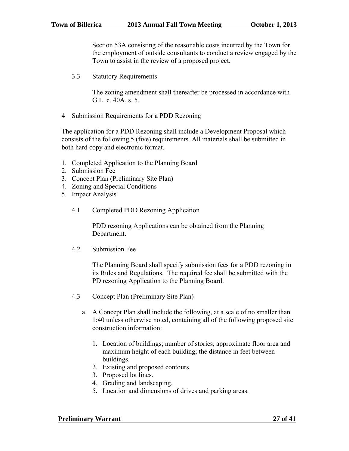Section 53A consisting of the reasonable costs incurred by the Town for the employment of outside consultants to conduct a review engaged by the Town to assist in the review of a proposed project.

3.3 Statutory Requirements

The zoning amendment shall thereafter be processed in accordance with G.L. c. 40A, s. 5.

#### 4 Submission Requirements for a PDD Rezoning

The application for a PDD Rezoning shall include a Development Proposal which consists of the following 5 (five) requirements. All materials shall be submitted in both hard copy and electronic format.

- 1. Completed Application to the Planning Board
- 2. Submission Fee
- 3. Concept Plan (Preliminary Site Plan)
- 4. Zoning and Special Conditions
- 5. Impact Analysis
	- 4.1 Completed PDD Rezoning Application

PDD rezoning Applications can be obtained from the Planning Department.

4.2 Submission Fee

The Planning Board shall specify submission fees for a PDD rezoning in its Rules and Regulations. The required fee shall be submitted with the PD rezoning Application to the Planning Board.

- 4.3 Concept Plan (Preliminary Site Plan)
	- a. A Concept Plan shall include the following, at a scale of no smaller than 1:40 unless otherwise noted, containing all of the following proposed site construction information:
		- 1. Location of buildings; number of stories, approximate floor area and maximum height of each building; the distance in feet between buildings.
		- 2. Existing and proposed contours.
		- 3. Proposed lot lines.
		- 4. Grading and landscaping.
		- 5. Location and dimensions of drives and parking areas.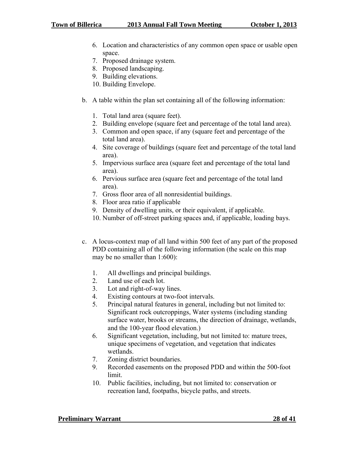- 6. Location and characteristics of any common open space or usable open space.
- 7. Proposed drainage system.
- 8. Proposed landscaping.
- 9. Building elevations.
- 10. Building Envelope.
- b. A table within the plan set containing all of the following information:
	- 1. Total land area (square feet).
	- 2. Building envelope (square feet and percentage of the total land area).
	- 3. Common and open space, if any (square feet and percentage of the total land area).
	- 4. Site coverage of buildings (square feet and percentage of the total land area).
	- 5. Impervious surface area (square feet and percentage of the total land area).
	- 6. Pervious surface area (square feet and percentage of the total land area).
	- 7. Gross floor area of all nonresidential buildings.
	- 8. Floor area ratio if applicable
	- 9. Density of dwelling units, or their equivalent, if applicable.
	- 10. Number of off-street parking spaces and, if applicable, loading bays.
- c. A locus-context map of all land within 500 feet of any part of the proposed PDD containing all of the following information (the scale on this map may be no smaller than 1:600):
	- 1. All dwellings and principal buildings.
	- 2. Land use of each lot.
	- 3. Lot and right-of-way lines.
	- 4. Existing contours at two-foot intervals.
	- 5. Principal natural features in general, including but not limited to: Significant rock outcroppings, Water systems (including standing surface water, brooks or streams, the direction of drainage, wetlands, and the 100-year flood elevation.)
	- 6. Significant vegetation, including, but not limited to: mature trees, unique specimens of vegetation, and vegetation that indicates wetlands.
	- 7. Zoning district boundaries.
	- 9. Recorded easements on the proposed PDD and within the 500-foot limit.
	- 10. Public facilities, including, but not limited to: conservation or recreation land, footpaths, bicycle paths, and streets.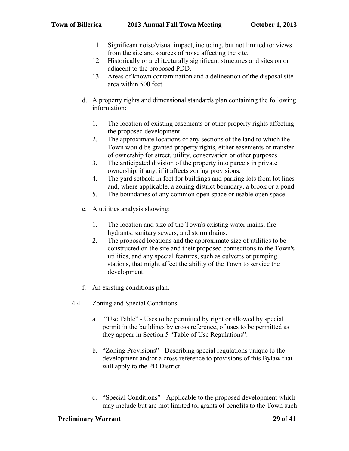- 11. Significant noise/visual impact, including, but not limited to: views from the site and sources of noise affecting the site.
- 12. Historically or architecturally significant structures and sites on or adjacent to the proposed PDD.
- 13. Areas of known contamination and a delineation of the disposal site area within 500 feet.
- d. A property rights and dimensional standards plan containing the following information:
	- 1. The location of existing easements or other property rights affecting the proposed development.
	- 2. The approximate locations of any sections of the land to which the Town would be granted property rights, either easements or transfer of ownership for street, utility, conservation or other purposes.
	- 3. The anticipated division of the property into parcels in private ownership, if any, if it affects zoning provisions.
	- 4. The yard setback in feet for buildings and parking lots from lot lines and, where applicable, a zoning district boundary, a brook or a pond.
	- 5. The boundaries of any common open space or usable open space.
- e. A utilities analysis showing:
	- 1. The location and size of the Town's existing water mains, fire hydrants, sanitary sewers, and storm drains.
	- 2. The proposed locations and the approximate size of utilities to be constructed on the site and their proposed connections to the Town's utilities, and any special features, such as culverts or pumping stations, that might affect the ability of the Town to service the development.
- f. An existing conditions plan.
- 4.4 Zoning and Special Conditions
	- a. "Use Table" Uses to be permitted by right or allowed by special permit in the buildings by cross reference, of uses to be permitted as they appear in Section 5 "Table of Use Regulations".
	- b. "Zoning Provisions" Describing special regulations unique to the development and/or a cross reference to provisions of this Bylaw that will apply to the PD District.
	- c. "Special Conditions" Applicable to the proposed development which may include but are mot limited to, grants of benefits to the Town such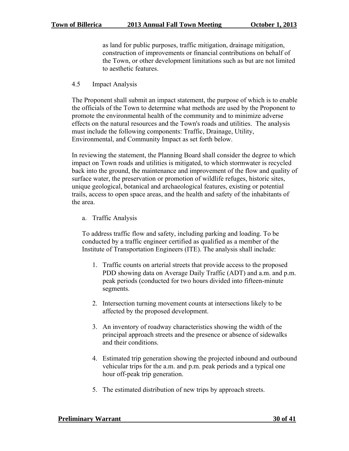as land for public purposes, traffic mitigation, drainage mitigation, construction of improvements or financial contributions on behalf of the Town, or other development limitations such as but are not limited to aesthetic features.

4.5 Impact Analysis

The Proponent shall submit an impact statement, the purpose of which is to enable the officials of the Town to determine what methods are used by the Proponent to promote the environmental health of the community and to minimize adverse effects on the natural resources and the Town's roads and utilities. The analysis must include the following components: Traffic, Drainage, Utility, Environmental, and Community Impact as set forth below.

In reviewing the statement, the Planning Board shall consider the degree to which impact on Town roads and utilities is mitigated, to which stormwater is recycled back into the ground, the maintenance and improvement of the flow and quality of surface water, the preservation or promotion of wildlife refuges, historic sites, unique geological, botanical and archaeological features, existing or potential trails, access to open space areas, and the health and safety of the inhabitants of the area.

a. Traffic Analysis

To address traffic flow and safety, including parking and loading. To be conducted by a traffic engineer certified as qualified as a member of the Institute of Transportation Engineers (ITE). The analysis shall include:

- 1. Traffic counts on arterial streets that provide access to the proposed PDD showing data on Average Daily Traffic (ADT) and a.m. and p.m. peak periods (conducted for two hours divided into fifteen-minute segments.
- 2. Intersection turning movement counts at intersections likely to be affected by the proposed development.
- 3. An inventory of roadway characteristics showing the width of the principal approach streets and the presence or absence of sidewalks and their conditions.
- 4. Estimated trip generation showing the projected inbound and outbound vehicular trips for the a.m. and p.m. peak periods and a typical one hour off-peak trip generation.
- 5. The estimated distribution of new trips by approach streets.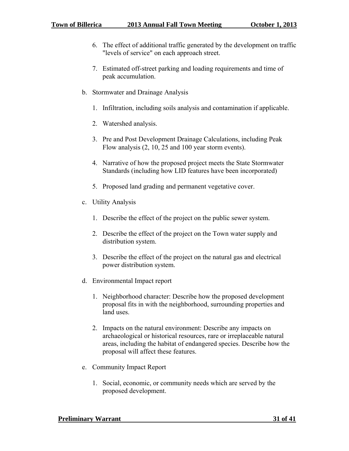- 6. The effect of additional traffic generated by the development on traffic "levels of service" on each approach street.
- 7. Estimated off-street parking and loading requirements and time of peak accumulation.
- b. Stormwater and Drainage Analysis
	- 1. Infiltration, including soils analysis and contamination if applicable.
	- 2. Watershed analysis.
	- 3. Pre and Post Development Drainage Calculations, including Peak Flow analysis (2, 10, 25 and 100 year storm events).
	- 4. Narrative of how the proposed project meets the State Stormwater Standards (including how LID features have been incorporated)
	- 5. Proposed land grading and permanent vegetative cover.
- c. Utility Analysis
	- 1. Describe the effect of the project on the public sewer system.
	- 2. Describe the effect of the project on the Town water supply and distribution system.
	- 3. Describe the effect of the project on the natural gas and electrical power distribution system.
- d. Environmental Impact report
	- 1. Neighborhood character: Describe how the proposed development proposal fits in with the neighborhood, surrounding properties and land uses.
	- 2. Impacts on the natural environment: Describe any impacts on archaeological or historical resources, rare or irreplaceable natural areas, including the habitat of endangered species. Describe how the proposal will affect these features.
- e. Community Impact Report
	- 1. Social, economic, or community needs which are served by the proposed development.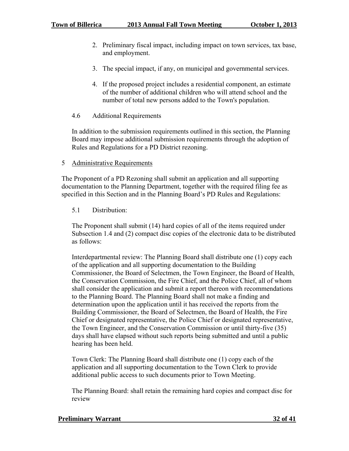- 2. Preliminary fiscal impact, including impact on town services, tax base, and employment.
- 3. The special impact, if any, on municipal and governmental services.
- 4. If the proposed project includes a residential component, an estimate of the number of additional children who will attend school and the number of total new persons added to the Town's population.

## 4.6 Additional Requirements

In addition to the submission requirements outlined in this section, the Planning Board may impose additional submission requirements through the adoption of Rules and Regulations for a PD District rezoning.

## 5 Administrative Requirements

The Proponent of a PD Rezoning shall submit an application and all supporting documentation to the Planning Department, together with the required filing fee as specified in this Section and in the Planning Board's PD Rules and Regulations:

## 5.1 Distribution:

The Proponent shall submit (14) hard copies of all of the items required under Subsection 1.4 and (2) compact disc copies of the electronic data to be distributed as follows:

Interdepartmental review: The Planning Board shall distribute one (1) copy each of the application and all supporting documentation to the Building Commissioner, the Board of Selectmen, the Town Engineer, the Board of Health, the Conservation Commission, the Fire Chief, and the Police Chief, all of whom shall consider the application and submit a report thereon with recommendations to the Planning Board. The Planning Board shall not make a finding and determination upon the application until it has received the reports from the Building Commissioner, the Board of Selectmen, the Board of Health, the Fire Chief or designated representative, the Police Chief or designated representative, the Town Engineer, and the Conservation Commission or until thirty-five (35) days shall have elapsed without such reports being submitted and until a public hearing has been held.

Town Clerk: The Planning Board shall distribute one (1) copy each of the application and all supporting documentation to the Town Clerk to provide additional public access to such documents prior to Town Meeting.

The Planning Board: shall retain the remaining hard copies and compact disc for review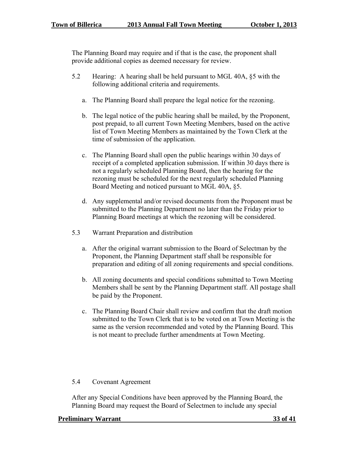The Planning Board may require and if that is the case, the proponent shall provide additional copies as deemed necessary for review.

- 5.2 Hearing: A hearing shall be held pursuant to MGL 40A, §5 with the following additional criteria and requirements.
	- a. The Planning Board shall prepare the legal notice for the rezoning.
	- b. The legal notice of the public hearing shall be mailed, by the Proponent, post prepaid, to all current Town Meeting Members, based on the active list of Town Meeting Members as maintained by the Town Clerk at the time of submission of the application.
	- c. The Planning Board shall open the public hearings within 30 days of receipt of a completed application submission. If within 30 days there is not a regularly scheduled Planning Board, then the hearing for the rezoning must be scheduled for the next regularly scheduled Planning Board Meeting and noticed pursuant to MGL 40A, §5.
	- d. Any supplemental and/or revised documents from the Proponent must be submitted to the Planning Department no later than the Friday prior to Planning Board meetings at which the rezoning will be considered.
- 5.3 Warrant Preparation and distribution
	- a. After the original warrant submission to the Board of Selectman by the Proponent, the Planning Department staff shall be responsible for preparation and editing of all zoning requirements and special conditions.
	- b. All zoning documents and special conditions submitted to Town Meeting Members shall be sent by the Planning Department staff. All postage shall be paid by the Proponent.
	- c. The Planning Board Chair shall review and confirm that the draft motion submitted to the Town Clerk that is to be voted on at Town Meeting is the same as the version recommended and voted by the Planning Board. This is not meant to preclude further amendments at Town Meeting.

## 5.4 Covenant Agreement

After any Special Conditions have been approved by the Planning Board, the Planning Board may request the Board of Selectmen to include any special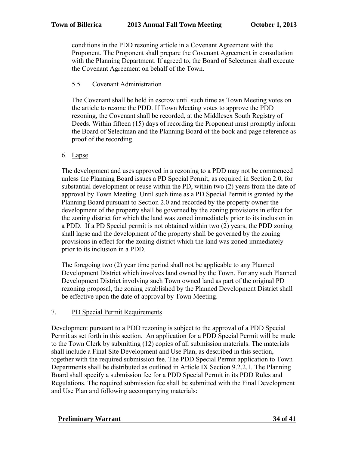conditions in the PDD rezoning article in a Covenant Agreement with the Proponent. The Proponent shall prepare the Covenant Agreement in consultation with the Planning Department. If agreed to, the Board of Selectmen shall execute the Covenant Agreement on behalf of the Town.

## 5.5 Covenant Administration

The Covenant shall be held in escrow until such time as Town Meeting votes on the article to rezone the PDD. If Town Meeting votes to approve the PDD rezoning, the Covenant shall be recorded, at the Middlesex South Registry of Deeds. Within fifteen (15) days of recording the Proponent must promptly inform the Board of Selectman and the Planning Board of the book and page reference as proof of the recording.

## 6. Lapse

The development and uses approved in a rezoning to a PDD may not be commenced unless the Planning Board issues a PD Special Permit, as required in Section 2.0, for substantial development or reuse within the PD, within two (2) years from the date of approval by Town Meeting. Until such time as a PD Special Permit is granted by the Planning Board pursuant to Section 2.0 and recorded by the property owner the development of the property shall be governed by the zoning provisions in effect for the zoning district for which the land was zoned immediately prior to its inclusion in a PDD. If a PD Special permit is not obtained within two (2) years, the PDD zoning shall lapse and the development of the property shall be governed by the zoning provisions in effect for the zoning district which the land was zoned immediately prior to its inclusion in a PDD.

The foregoing two (2) year time period shall not be applicable to any Planned Development District which involves land owned by the Town. For any such Planned Development District involving such Town owned land as part of the original PD rezoning proposal, the zoning established by the Planned Development District shall be effective upon the date of approval by Town Meeting.

## 7. PD Special Permit Requirements

Development pursuant to a PDD rezoning is subject to the approval of a PDD Special Permit as set forth in this section. An application for a PDD Special Permit will be made to the Town Clerk by submitting (12) copies of all submission materials. The materials shall include a Final Site Development and Use Plan, as described in this section, together with the required submission fee. The PDD Special Permit application to Town Departments shall be distributed as outlined in Article IX Section 9.2.2.1. The Planning Board shall specify a submission fee for a PDD Special Permit in its PDD Rules and Regulations. The required submission fee shall be submitted with the Final Development and Use Plan and following accompanying materials: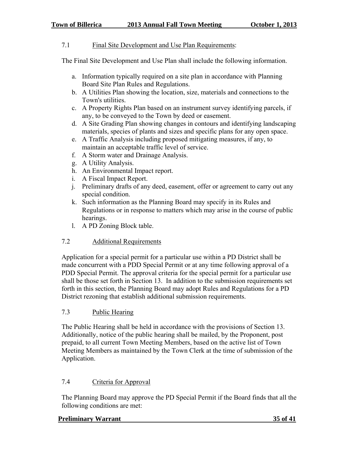## 7.1 Final Site Development and Use Plan Requirements:

The Final Site Development and Use Plan shall include the following information.

- a. Information typically required on a site plan in accordance with Planning Board Site Plan Rules and Regulations.
- b. A Utilities Plan showing the location, size, materials and connections to the Town's utilities.
- c. A Property Rights Plan based on an instrument survey identifying parcels, if any, to be conveyed to the Town by deed or easement.
- d. A Site Grading Plan showing changes in contours and identifying landscaping materials, species of plants and sizes and specific plans for any open space.
- e. A Traffic Analysis including proposed mitigating measures, if any, to maintain an acceptable traffic level of service.
- f. A Storm water and Drainage Analysis.
- g. A Utility Analysis.
- h. An Environmental Impact report.
- i. A Fiscal Impact Report.
- j. Preliminary drafts of any deed, easement, offer or agreement to carry out any special condition.
- k. Such information as the Planning Board may specify in its Rules and Regulations or in response to matters which may arise in the course of public hearings.
- l. A PD Zoning Block table.

## 7.2 Additional Requirements

Application for a special permit for a particular use within a PD District shall be made concurrent with a PDD Special Permit or at any time following approval of a PDD Special Permit. The approval criteria for the special permit for a particular use shall be those set forth in Section 13. In addition to the submission requirements set forth in this section, the Planning Board may adopt Rules and Regulations for a PD District rezoning that establish additional submission requirements.

## 7.3 Public Hearing

The Public Hearing shall be held in accordance with the provisions of Section 13. Additionally, notice of the public hearing shall be mailed, by the Proponent, post prepaid, to all current Town Meeting Members, based on the active list of Town Meeting Members as maintained by the Town Clerk at the time of submission of the Application.

## 7.4 Criteria for Approval

The Planning Board may approve the PD Special Permit if the Board finds that all the following conditions are met:

#### **Preliminary Warrant 35 of 41**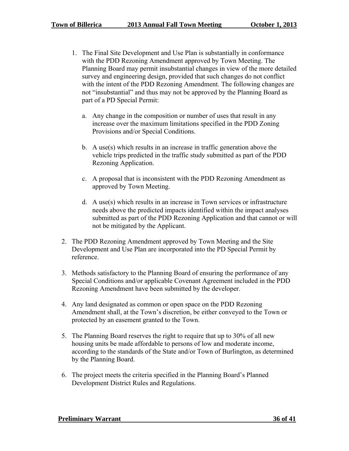- 1. The Final Site Development and Use Plan is substantially in conformance with the PDD Rezoning Amendment approved by Town Meeting. The Planning Board may permit insubstantial changes in view of the more detailed survey and engineering design, provided that such changes do not conflict with the intent of the PDD Rezoning Amendment. The following changes are not "insubstantial" and thus may not be approved by the Planning Board as part of a PD Special Permit:
	- a. Any change in the composition or number of uses that result in any increase over the maximum limitations specified in the PDD Zoning Provisions and/or Special Conditions.
	- b. A use(s) which results in an increase in traffic generation above the vehicle trips predicted in the traffic study submitted as part of the PDD Rezoning Application.
	- c. A proposal that is inconsistent with the PDD Rezoning Amendment as approved by Town Meeting.
	- d. A use(s) which results in an increase in Town services or infrastructure needs above the predicted impacts identified within the impact analyses submitted as part of the PDD Rezoning Application and that cannot or will not be mitigated by the Applicant.
- 2. The PDD Rezoning Amendment approved by Town Meeting and the Site Development and Use Plan are incorporated into the PD Special Permit by reference.
- 3. Methods satisfactory to the Planning Board of ensuring the performance of any Special Conditions and/or applicable Covenant Agreement included in the PDD Rezoning Amendment have been submitted by the developer.
- 4. Any land designated as common or open space on the PDD Rezoning Amendment shall, at the Town's discretion, be either conveyed to the Town or protected by an easement granted to the Town.
- 5. The Planning Board reserves the right to require that up to 30% of all new housing units be made affordable to persons of low and moderate income, according to the standards of the State and/or Town of Burlington, as determined by the Planning Board.
- 6. The project meets the criteria specified in the Planning Board's Planned Development District Rules and Regulations.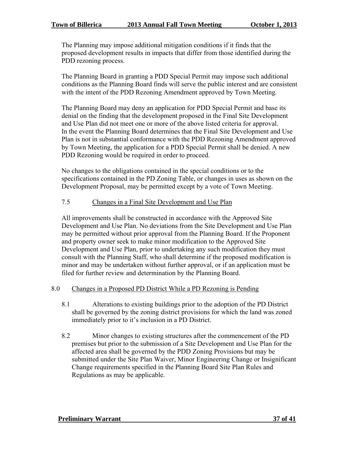The Planning may impose additional mitigation conditions if it finds that the proposed development results in impacts that differ from those identified during the PDD rezoning process.

The Planning Board in granting a PDD Special Permit may impose such additional conditions as the Planning Board finds will serve the public interest and are consistent with the intent of the PDD Rezoning Amendment approved by Town Meeting.

The Planning Board may deny an application for PDD Special Permit and base its denial on the finding that the development proposed in the Final Site Development and Use Plan did not meet one or more of the above listed criteria for approval. In the event the Planning Board determines that the Final Site Development and Use Plan is not in substantial conformance with the PDD Rezoning Amendment approved by Town Meeting, the application for a PDD Special Permit shall be denied. A new PDD Rezoning would be required in order to proceed.

No changes to the obligations contained in the special conditions or to the specifications contained in the PD Zoning Table, or changes in uses as shown on the Development Proposal, may be permitted except by a vote of Town Meeting.

## 7.5 Changes in a Final Site Development and Use Plan

All improvements shall be constructed in accordance with the Approved Site Development and Use Plan. No deviations from the Site Development and Use Plan may be permitted without prior approval from the Planning Board. If the Proponent and property owner seek to make minor modification to the Approved Site Development and Use Plan, prior to undertaking any such modification they must consult with the Planning Staff, who shall determine if the proposed modification is minor and may be undertaken without further approval, or if an application must be filed for further review and determination by the Planning Board.

#### 8.0 Changes in a Proposed PD District While a PD Rezoning is Pending

- 8.1 Alterations to existing buildings prior to the adoption of the PD District shall be governed by the zoning district provisions for which the land was zoned immediately prior to it's inclusion in a PD District.
- 8.2 Minor changes to existing structures after the commencement of the PD premises but prior to the submission of a Site Development and Use Plan for the affected area shall be governed by the PDD Zoning Provisions but may be submitted under the Site Plan Waiver, Minor Engineering Change or Insignificant Change requirements specified in the Planning Board Site Plan Rules and Regulations as may be applicable.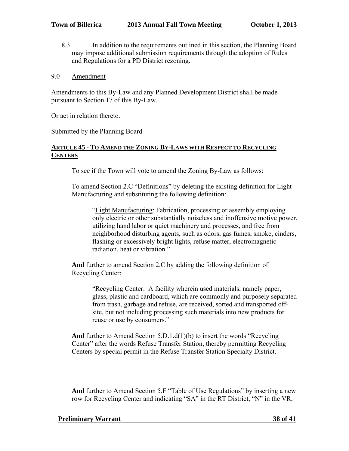- 8.3 In addition to the requirements outlined in this section, the Planning Board may impose additional submission requirements through the adoption of Rules and Regulations for a PD District rezoning.
- 9.0 Amendment

Amendments to this By-Law and any Planned Development District shall be made pursuant to Section 17 of this By-Law.

Or act in relation thereto.

Submitted by the Planning Board

## **ARTICLE 45 - TO AMEND THE ZONING BY-LAWS WITH RESPECT TO RECYCLING CENTERS**

To see if the Town will vote to amend the Zoning By-Law as follows:

To amend Section 2.C "Definitions" by deleting the existing definition for Light Manufacturing and substituting the following definition:

"Light Manufacturing: Fabrication, processing or assembly employing only electric or other substantially noiseless and inoffensive motive power, utilizing hand labor or quiet machinery and processes, and free from neighborhood disturbing agents, such as odors, gas fumes, smoke, cinders, flashing or excessively bright lights, refuse matter, electromagnetic radiation, heat or vibration."

**And** further to amend Section 2.C by adding the following definition of Recycling Center:

> "Recycling Center: A facility wherein used materials, namely paper, glass, plastic and cardboard, which are commonly and purposely separated from trash, garbage and refuse, are received, sorted and transported offsite, but not including processing such materials into new products for reuse or use by consumers."

**And** further to Amend Section 5.D.1.d(1)(b) to insert the words "Recycling Center" after the words Refuse Transfer Station, thereby permitting Recycling Centers by special permit in the Refuse Transfer Station Specialty District.

**And** further to Amend Section 5.F "Table of Use Regulations" by inserting a new row for Recycling Center and indicating "SA" in the RT District, "N" in the VR,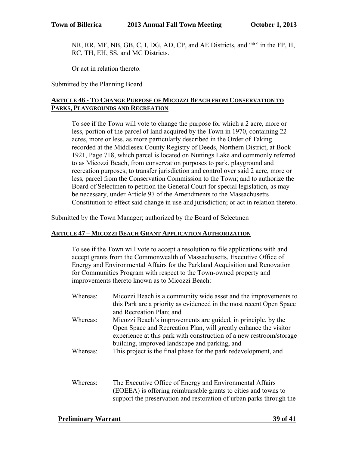NR, RR, MF, NB, GB, C, I, DG, AD, CP, and AE Districts, and "\*" in the FP, H, RC, TH, EH, SS, and MC Districts.

Or act in relation thereto.

Submitted by the Planning Board

## **ARTICLE 46 - TO CHANGE PURPOSE OF MICOZZI BEACH FROM CONSERVATION TO PARKS, PLAYGROUNDS AND RECREATION**

To see if the Town will vote to change the purpose for which a 2 acre, more or less, portion of the parcel of land acquired by the Town in 1970, containing 22 acres, more or less, as more particularly described in the Order of Taking recorded at the Middlesex County Registry of Deeds, Northern District, at Book 1921, Page 718, which parcel is located on Nuttings Lake and commonly referred to as Micozzi Beach, from conservation purposes to park, playground and recreation purposes; to transfer jurisdiction and control over said 2 acre, more or less, parcel from the Conservation Commission to the Town; and to authorize the Board of Selectmen to petition the General Court for special legislation, as may be necessary, under Article 97 of the Amendments to the Massachusetts Constitution to effect said change in use and jurisdiction; or act in relation thereto.

Submitted by the Town Manager; authorized by the Board of Selectmen

#### **ARTICLE 47 – MICOZZI BEACH GRANT APPLICATION AUTHORIZATION**

To see if the Town will vote to accept a resolution to file applications with and accept grants from the Commonwealth of Massachusetts, Executive Office of Energy and Environmental Affairs for the Parkland Acquisition and Renovation for Communities Program with respect to the Town-owned property and improvements thereto known as to Micozzi Beach:

- Whereas: Micozzi Beach is a community wide asset and the improvements to this Park are a priority as evidenced in the most recent Open Space and Recreation Plan; and Whereas: Micozzi Beach's improvements are guided, in principle, by the Open Space and Recreation Plan, will greatly enhance the visitor experience at this park with construction of a new restroom/storage building, improved landscape and parking, and Whereas: This project is the final phase for the park redevelopment, and
- Whereas: The Executive Office of Energy and Environmental Affairs (EOEEA) is offering reimbursable grants to cities and towns to support the preservation and restoration of urban parks through the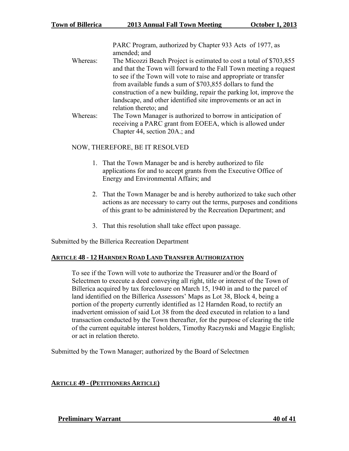PARC Program, authorized by Chapter 933 Acts of 1977, as amended; and

- Whereas: The Micozzi Beach Project is estimated to cost a total of \$703,855 and that the Town will forward to the Fall Town meeting a request to see if the Town will vote to raise and appropriate or transfer from available funds a sum of \$703,855 dollars to fund the construction of a new building, repair the parking lot, improve the landscape, and other identified site improvements or an act in relation thereto; and
- Whereas: The Town Manager is authorized to borrow in anticipation of receiving a PARC grant from EOEEA, which is allowed under Chapter 44, section 20A.; and

## NOW, THEREFORE, BE IT RESOLVED

- 1. That the Town Manager be and is hereby authorized to file applications for and to accept grants from the Executive Office of Energy and Environmental Affairs; and
- 2. That the Town Manager be and is hereby authorized to take such other actions as are necessary to carry out the terms, purposes and conditions of this grant to be administered by the Recreation Department; and
- 3. That this resolution shall take effect upon passage.

Submitted by the Billerica Recreation Department

## **ARTICLE 48 - 12 HARNDEN ROAD LAND TRANSFER AUTHORIZATION**

To see if the Town will vote to authorize the Treasurer and/or the Board of Selectmen to execute a deed conveying all right, title or interest of the Town of Billerica acquired by tax foreclosure on March 15, 1940 in and to the parcel of land identified on the Billerica Assessors' Maps as Lot 38, Block 4, being a portion of the property currently identified as 12 Harnden Road, to rectify an inadvertent omission of said Lot 38 from the deed executed in relation to a land transaction conducted by the Town thereafter, for the purpose of clearing the title of the current equitable interest holders, Timothy Raczynski and Maggie English; or act in relation thereto.

Submitted by the Town Manager; authorized by the Board of Selectmen

## **ARTICLE 49 - (PETITIONERS ARTICLE)**